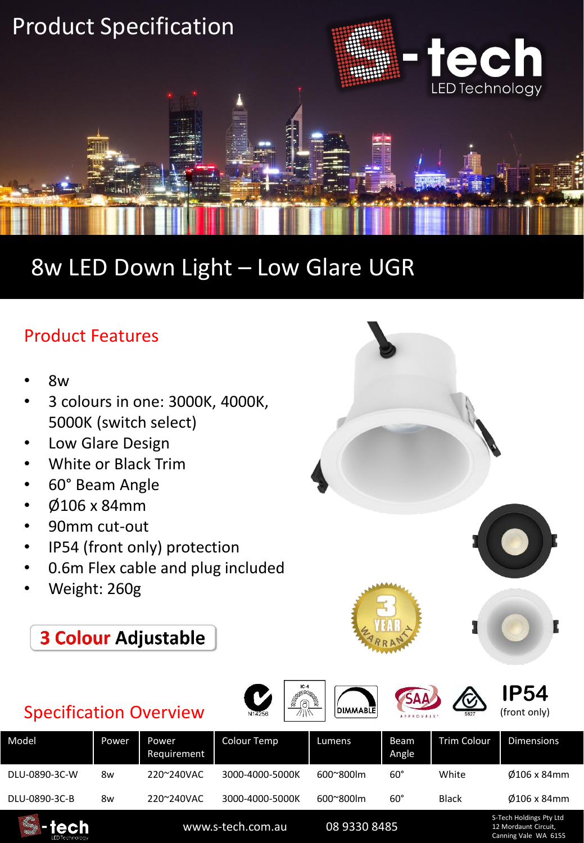

## 8w LED Down Light – Low Glare UGR

## Product Features

- 8w
- 3 colours in one: 3000K, 4000K, 5000K (switch select)
- Low Glare Design
- White or Black Trim
- 60° Beam Angle
- Ø106 x 84mm
- 90mm cut-out
- IP54 (front only) protection
- 0.6m Flex cable and plug included
- Weight: 260g
	- **3 Colour Adjustable**

## Specification Overview



**DIMMABLE** 

**IP54** (front only)